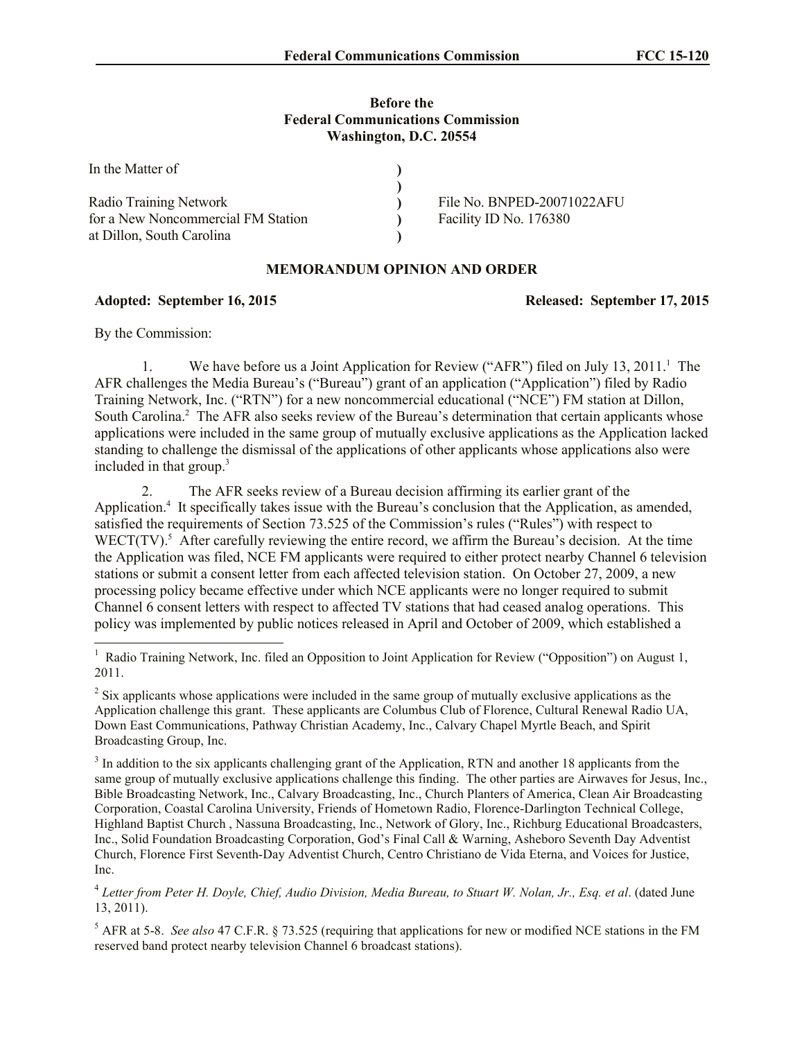## **Before the Federal Communications Commission Washington, D.C. 20554**

| In the Matter of                   |                            |
|------------------------------------|----------------------------|
|                                    |                            |
| Radio Training Network             | File No. BNPED-20071022AFU |
| for a New Noncommercial FM Station | Facility ID No. 176380     |
| at Dillon, South Carolina          |                            |

## **MEMORANDUM OPINION AND ORDER**

## **Adopted: September 16, 2015 Released: September 17, 2015**

By the Commission:

 $\overline{\phantom{a}}$ 

1. We have before us a Joint Application for Review ("AFR") filed on July 13, 2011.<sup>1</sup> The AFR challenges the Media Bureau's ("Bureau") grant of an application ("Application") filed by Radio Training Network, Inc. ("RTN") for a new noncommercial educational ("NCE") FM station at Dillon, South Carolina.<sup>2</sup> The AFR also seeks review of the Bureau's determination that certain applicants whose applications were included in the same group of mutually exclusive applications as the Application lacked standing to challenge the dismissal of the applications of other applicants whose applications also were included in that group. 3

2. The AFR seeks review of a Bureau decision affirming its earlier grant of the Application.<sup>4</sup> It specifically takes issue with the Bureau's conclusion that the Application, as amended, satisfied the requirements of Section 73.525 of the Commission's rules ("Rules") with respect to WECT(TV).<sup>5</sup> After carefully reviewing the entire record, we affirm the Bureau's decision. At the time the Application was filed, NCE FM applicants were required to either protect nearby Channel 6 television stations or submit a consent letter from each affected television station. On October 27, 2009, a new processing policy became effective under which NCE applicants were no longer required to submit Channel 6 consent letters with respect to affected TV stations that had ceased analog operations. This policy was implemented by public notices released in April and October of 2009, which established a

<sup>&</sup>lt;sup>1</sup> Radio Training Network, Inc. filed an Opposition to Joint Application for Review ("Opposition") on August 1, 2011.

 $2^{2}$  Six applicants whose applications were included in the same group of mutually exclusive applications as the Application challenge this grant. These applicants are Columbus Club of Florence, Cultural Renewal Radio UA, Down East Communications, Pathway Christian Academy, Inc., Calvary Chapel Myrtle Beach, and Spirit Broadcasting Group, Inc.

 $3$  In addition to the six applicants challenging grant of the Application, RTN and another 18 applicants from the same group of mutually exclusive applications challenge this finding. The other parties are Airwaves for Jesus, Inc., Bible Broadcasting Network, Inc., Calvary Broadcasting, Inc., Church Planters of America, Clean Air Broadcasting Corporation, Coastal Carolina University, Friends of Hometown Radio, Florence-Darlington Technical College, Highland Baptist Church , Nassuna Broadcasting, Inc., Network of Glory, Inc., Richburg Educational Broadcasters, Inc., Solid Foundation Broadcasting Corporation, God's Final Call & Warning, Asheboro Seventh Day Adventist Church, Florence First Seventh-Day Adventist Church, Centro Christiano de Vida Eterna, and Voices for Justice, Inc.

<sup>4</sup> *Letter from Peter H. Doyle, Chief, Audio Division, Media Bureau, to Stuart W. Nolan, Jr., Esq. et al*. (dated June 13, 2011).

<sup>5</sup> AFR at 5-8. *See also* 47 C.F.R. § 73.525 (requiring that applications for new or modified NCE stations in the FM reserved band protect nearby television Channel 6 broadcast stations).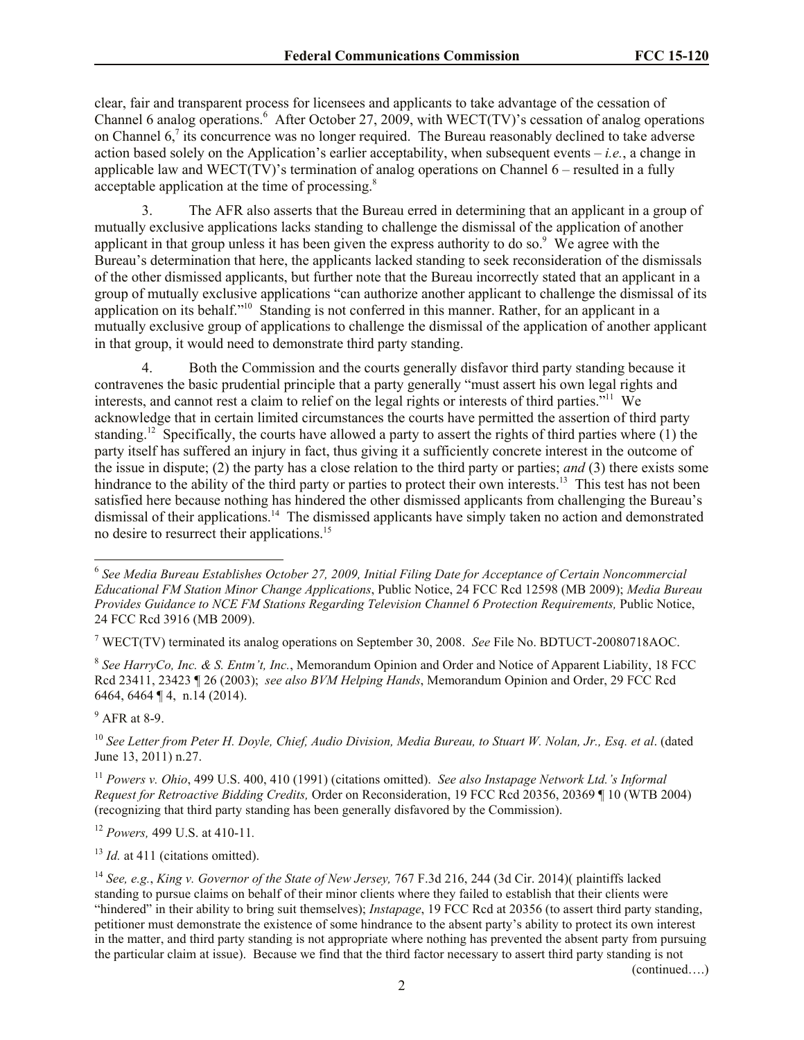clear, fair and transparent process for licensees and applicants to take advantage of the cessation of Channel 6 analog operations.<sup>6</sup> After October 27, 2009, with WECT(TV)'s cessation of analog operations on Channel  $6<sup>7</sup>$  its concurrence was no longer required. The Bureau reasonably declined to take adverse action based solely on the Application's earlier acceptability, when subsequent events – *i.e.*, a change in applicable law and WECT(TV)'s termination of analog operations on Channel 6 – resulted in a fully acceptable application at the time of processing.<sup>8</sup>

3. The AFR also asserts that the Bureau erred in determining that an applicant in a group of mutually exclusive applications lacks standing to challenge the dismissal of the application of another applicant in that group unless it has been given the express authority to do so.<sup>9</sup> We agree with the Bureau's determination that here, the applicants lacked standing to seek reconsideration of the dismissals of the other dismissed applicants, but further note that the Bureau incorrectly stated that an applicant in a group of mutually exclusive applications "can authorize another applicant to challenge the dismissal of its application on its behalf."<sup>10</sup> Standing is not conferred in this manner. Rather, for an applicant in a mutually exclusive group of applications to challenge the dismissal of the application of another applicant in that group, it would need to demonstrate third party standing.

4. Both the Commission and the courts generally disfavor third party standing because it contravenes the basic prudential principle that a party generally "must assert his own legal rights and interests, and cannot rest a claim to relief on the legal rights or interests of third parties."<sup>11</sup> We acknowledge that in certain limited circumstances the courts have permitted the assertion of third party standing.<sup>12</sup> Specifically, the courts have allowed a party to assert the rights of third parties where  $(1)$  the party itself has suffered an injury in fact, thus giving it a sufficiently concrete interest in the outcome of the issue in dispute; (2) the party has a close relation to the third party or parties; *and* (3) there exists some hindrance to the ability of the third party or parties to protect their own interests.<sup>13</sup> This test has not been satisfied here because nothing has hindered the other dismissed applicants from challenging the Bureau's dismissal of their applications.<sup>14</sup> The dismissed applicants have simply taken no action and demonstrated no desire to resurrect their applications.<sup>15</sup>

<sup>9</sup> AFR at 8-9.

 $\overline{\phantom{a}}$ 

<sup>12</sup> *Powers,* 499 U.S. at 410-11*.* 

<sup>13</sup> *Id.* at 411 (citations omitted).

(continued….)

<sup>&</sup>lt;sup>6</sup> See Media Bureau Establishes October 27, 2009, Initial Filing Date for Acceptance of Certain Noncommercial *Educational FM Station Minor Change Applications*, Public Notice, 24 FCC Rcd 12598 (MB 2009); *Media Bureau Provides Guidance to NCE FM Stations Regarding Television Channel 6 Protection Requirements,* Public Notice, 24 FCC Rcd 3916 (MB 2009).

<sup>7</sup> WECT(TV) terminated its analog operations on September 30, 2008. *See* File No. BDTUCT-20080718AOC.

<sup>8</sup> *See HarryCo, Inc. & S. Entm't, Inc.*, Memorandum Opinion and Order and Notice of Apparent Liability, 18 FCC Rcd 23411, 23423 ¶ 26 (2003); *see also BVM Helping Hands*, Memorandum Opinion and Order, 29 FCC Rcd 6464, 6464 ¶ 4, n.14 (2014).

<sup>10</sup> *See Letter from Peter H. Doyle, Chief, Audio Division, Media Bureau, to Stuart W. Nolan, Jr., Esq. et al*. (dated June 13, 2011) n.27.

<sup>11</sup> *Powers v. Ohio*, 499 U.S. 400, 410 (1991) (citations omitted). *See also Instapage Network Ltd.'s Informal Request for Retroactive Bidding Credits,* Order on Reconsideration, 19 FCC Rcd 20356, 20369 ¶ 10 (WTB 2004) (recognizing that third party standing has been generally disfavored by the Commission).

<sup>14</sup> *See, e.g.*, *King v. Governor of the State of New Jersey,* 767 F.3d 216, 244 (3d Cir. 2014)( plaintiffs lacked standing to pursue claims on behalf of their minor clients where they failed to establish that their clients were "hindered" in their ability to bring suit themselves); *Instapage*, 19 FCC Rcd at 20356 (to assert third party standing, petitioner must demonstrate the existence of some hindrance to the absent party's ability to protect its own interest in the matter, and third party standing is not appropriate where nothing has prevented the absent party from pursuing the particular claim at issue). Because we find that the third factor necessary to assert third party standing is not